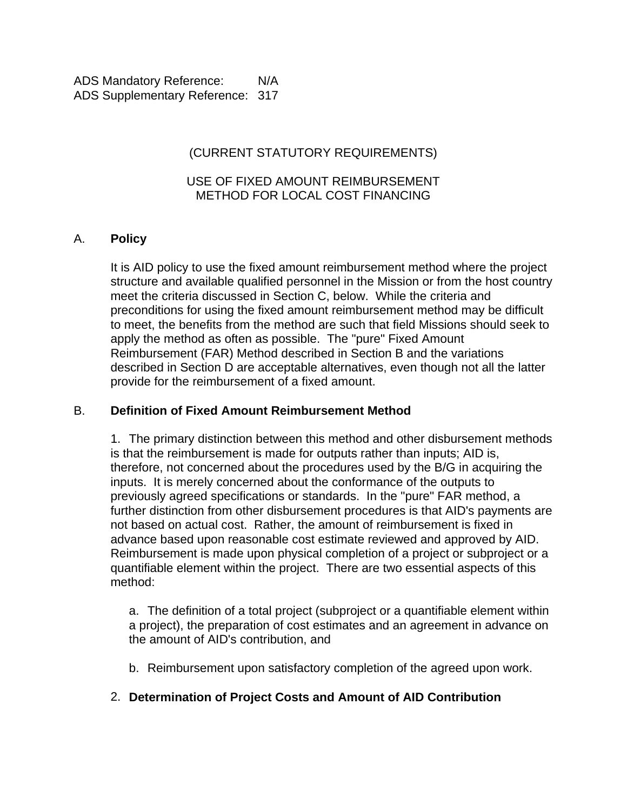# (CURRENT STATUTORY REQUIREMENTS)

#### USE OF FIXED AMOUNT REIMBURSEMENT METHOD FOR LOCAL COST FINANCING

## A. **Policy**

It is AID policy to use the fixed amount reimbursement method where the project structure and available qualified personnel in the Mission or from the host country meet the criteria discussed in Section C, below. While the criteria and preconditions for using the fixed amount reimbursement method may be difficult to meet, the benefits from the method are such that field Missions should seek to apply the method as often as possible. The "pure" Fixed Amount Reimbursement (FAR) Method described in Section B and the variations described in Section D are acceptable alternatives, even though not all the latter provide for the reimbursement of a fixed amount.

#### B. **Definition of Fixed Amount Reimbursement Method**

1. The primary distinction between this method and other disbursement methods is that the reimbursement is made for outputs rather than inputs; AID is, therefore, not concerned about the procedures used by the B/G in acquiring the inputs. It is merely concerned about the conformance of the outputs to previously agreed specifications or standards. In the "pure" FAR method, a further distinction from other disbursement procedures is that AID's payments are not based on actual cost. Rather, the amount of reimbursement is fixed in advance based upon reasonable cost estimate reviewed and approved by AID. Reimbursement is made upon physical completion of a project or subproject or a quantifiable element within the project. There are two essential aspects of this method:

a. The definition of a total project (subproject or a quantifiable element within a project), the preparation of cost estimates and an agreement in advance on the amount of AID's contribution, and

b. Reimbursement upon satisfactory completion of the agreed upon work.

#### 2. **Determination of Project Costs and Amount of AID Contribution**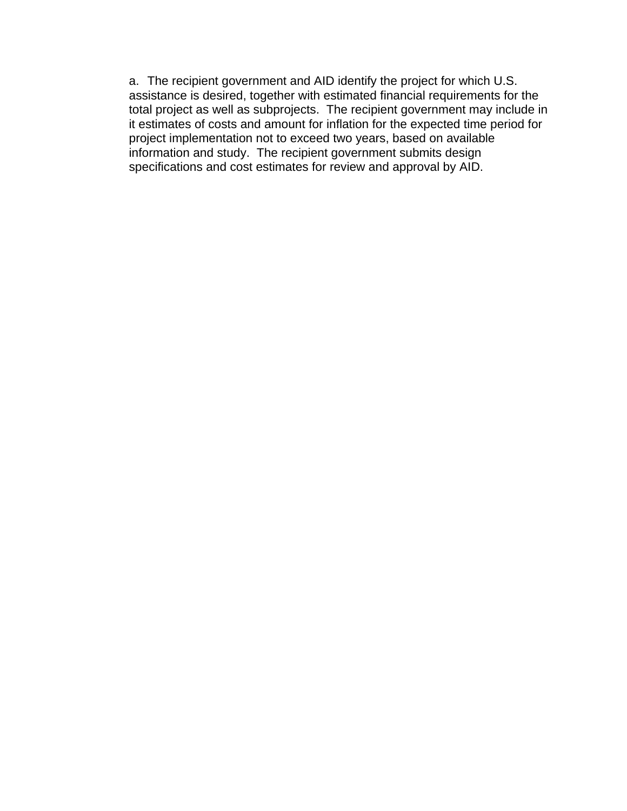a. The recipient government and AID identify the project for which U.S. assistance is desired, together with estimated financial requirements for the total project as well as subprojects. The recipient government may include in it estimates of costs and amount for inflation for the expected time period for project implementation not to exceed two years, based on available information and study. The recipient government submits design specifications and cost estimates for review and approval by AID.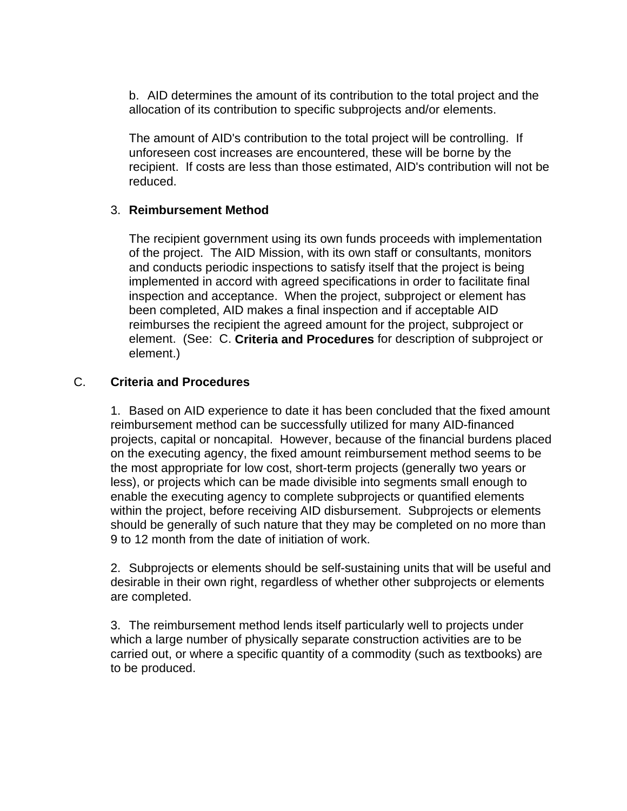b. AID determines the amount of its contribution to the total project and the allocation of its contribution to specific subprojects and/or elements.

The amount of AID's contribution to the total project will be controlling. If unforeseen cost increases are encountered, these will be borne by the recipient. If costs are less than those estimated, AID's contribution will not be reduced.

## 3. **Reimbursement Method**

The recipient government using its own funds proceeds with implementation of the project. The AID Mission, with its own staff or consultants, monitors and conducts periodic inspections to satisfy itself that the project is being implemented in accord with agreed specifications in order to facilitate final inspection and acceptance. When the project, subproject or element has been completed, AID makes a final inspection and if acceptable AID reimburses the recipient the agreed amount for the project, subproject or element. (See: C. **Criteria and Procedures** for description of subproject or element.)

## C. **Criteria and Procedures**

1. Based on AID experience to date it has been concluded that the fixed amount reimbursement method can be successfully utilized for many AID-financed projects, capital or noncapital. However, because of the financial burdens placed on the executing agency, the fixed amount reimbursement method seems to be the most appropriate for low cost, short-term projects (generally two years or less), or projects which can be made divisible into segments small enough to enable the executing agency to complete subprojects or quantified elements within the project, before receiving AID disbursement. Subprojects or elements should be generally of such nature that they may be completed on no more than 9 to 12 month from the date of initiation of work.

2. Subprojects or elements should be self-sustaining units that will be useful and desirable in their own right, regardless of whether other subprojects or elements are completed.

3. The reimbursement method lends itself particularly well to projects under which a large number of physically separate construction activities are to be carried out, or where a specific quantity of a commodity (such as textbooks) are to be produced.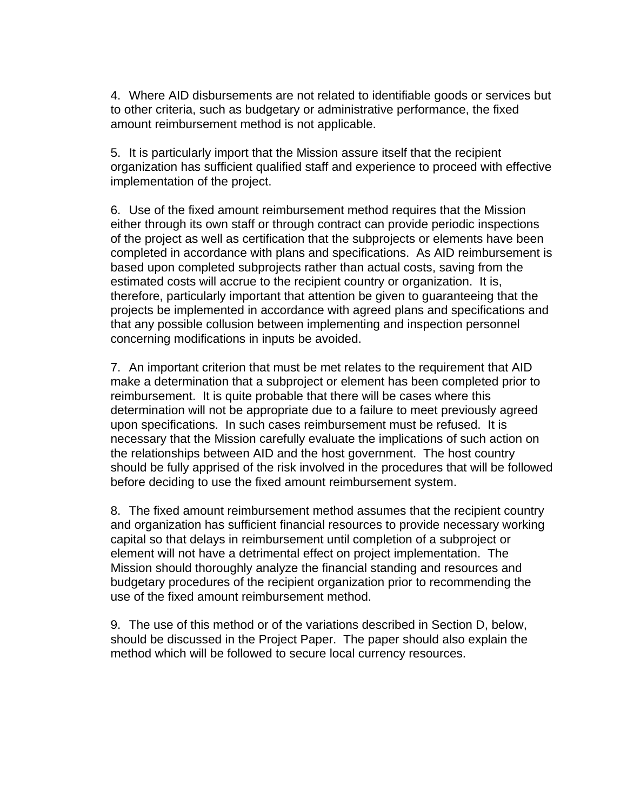4. Where AID disbursements are not related to identifiable goods or services but to other criteria, such as budgetary or administrative performance, the fixed amount reimbursement method is not applicable.

5. It is particularly import that the Mission assure itself that the recipient organization has sufficient qualified staff and experience to proceed with effective implementation of the project.

6. Use of the fixed amount reimbursement method requires that the Mission either through its own staff or through contract can provide periodic inspections of the project as well as certification that the subprojects or elements have been completed in accordance with plans and specifications. As AID reimbursement is based upon completed subprojects rather than actual costs, saving from the estimated costs will accrue to the recipient country or organization. It is, therefore, particularly important that attention be given to guaranteeing that the projects be implemented in accordance with agreed plans and specifications and that any possible collusion between implementing and inspection personnel concerning modifications in inputs be avoided.

7. An important criterion that must be met relates to the requirement that AID make a determination that a subproject or element has been completed prior to reimbursement. It is quite probable that there will be cases where this determination will not be appropriate due to a failure to meet previously agreed upon specifications. In such cases reimbursement must be refused. It is necessary that the Mission carefully evaluate the implications of such action on the relationships between AID and the host government. The host country should be fully apprised of the risk involved in the procedures that will be followed before deciding to use the fixed amount reimbursement system.

8. The fixed amount reimbursement method assumes that the recipient country and organization has sufficient financial resources to provide necessary working capital so that delays in reimbursement until completion of a subproject or element will not have a detrimental effect on project implementation. The Mission should thoroughly analyze the financial standing and resources and budgetary procedures of the recipient organization prior to recommending the use of the fixed amount reimbursement method.

9. The use of this method or of the variations described in Section D, below, should be discussed in the Project Paper. The paper should also explain the method which will be followed to secure local currency resources.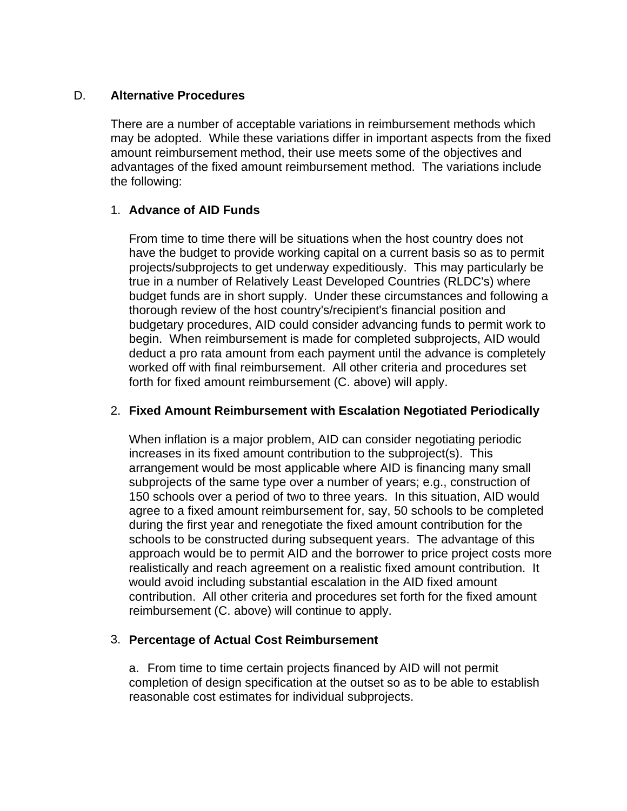#### D. **Alternative Procedures**

There are a number of acceptable variations in reimbursement methods which may be adopted. While these variations differ in important aspects from the fixed amount reimbursement method, their use meets some of the objectives and advantages of the fixed amount reimbursement method. The variations include the following:

## 1. **Advance of AID Funds**

From time to time there will be situations when the host country does not have the budget to provide working capital on a current basis so as to permit projects/subprojects to get underway expeditiously. This may particularly be true in a number of Relatively Least Developed Countries (RLDC's) where budget funds are in short supply. Under these circumstances and following a thorough review of the host country's/recipient's financial position and budgetary procedures, AID could consider advancing funds to permit work to begin. When reimbursement is made for completed subprojects, AID would deduct a pro rata amount from each payment until the advance is completely worked off with final reimbursement. All other criteria and procedures set forth for fixed amount reimbursement (C. above) will apply.

### 2. **Fixed Amount Reimbursement with Escalation Negotiated Periodically**

When inflation is a major problem, AID can consider negotiating periodic increases in its fixed amount contribution to the subproject(s). This arrangement would be most applicable where AID is financing many small subprojects of the same type over a number of years; e.g., construction of 150 schools over a period of two to three years. In this situation, AID would agree to a fixed amount reimbursement for, say, 50 schools to be completed during the first year and renegotiate the fixed amount contribution for the schools to be constructed during subsequent years. The advantage of this approach would be to permit AID and the borrower to price project costs more realistically and reach agreement on a realistic fixed amount contribution. It would avoid including substantial escalation in the AID fixed amount contribution. All other criteria and procedures set forth for the fixed amount reimbursement (C. above) will continue to apply.

## 3. **Percentage of Actual Cost Reimbursement**

a. From time to time certain projects financed by AID will not permit completion of design specification at the outset so as to be able to establish reasonable cost estimates for individual subprojects.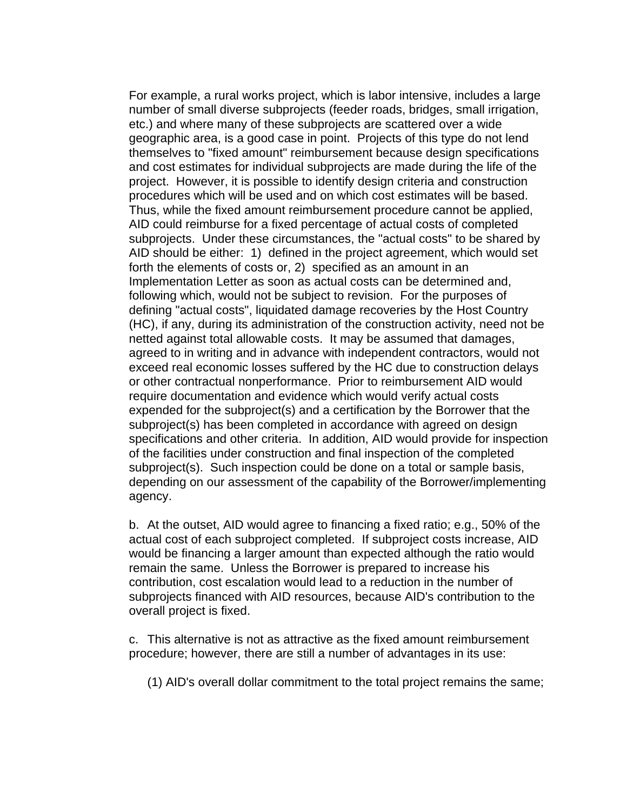For example, a rural works project, which is labor intensive, includes a large number of small diverse subprojects (feeder roads, bridges, small irrigation, etc.) and where many of these subprojects are scattered over a wide geographic area, is a good case in point. Projects of this type do not lend themselves to "fixed amount" reimbursement because design specifications and cost estimates for individual subprojects are made during the life of the project. However, it is possible to identify design criteria and construction procedures which will be used and on which cost estimates will be based. Thus, while the fixed amount reimbursement procedure cannot be applied, AID could reimburse for a fixed percentage of actual costs of completed subprojects. Under these circumstances, the "actual costs" to be shared by AID should be either: 1) defined in the project agreement, which would set forth the elements of costs or, 2) specified as an amount in an Implementation Letter as soon as actual costs can be determined and, following which, would not be subject to revision. For the purposes of defining "actual costs", liquidated damage recoveries by the Host Country (HC), if any, during its administration of the construction activity, need not be netted against total allowable costs. It may be assumed that damages, agreed to in writing and in advance with independent contractors, would not exceed real economic losses suffered by the HC due to construction delays or other contractual nonperformance. Prior to reimbursement AID would require documentation and evidence which would verify actual costs expended for the subproject(s) and a certification by the Borrower that the subproject(s) has been completed in accordance with agreed on design specifications and other criteria. In addition, AID would provide for inspection of the facilities under construction and final inspection of the completed subproject(s). Such inspection could be done on a total or sample basis, depending on our assessment of the capability of the Borrower/implementing agency.

b. At the outset, AID would agree to financing a fixed ratio; e.g., 50% of the actual cost of each subproject completed. If subproject costs increase, AID would be financing a larger amount than expected although the ratio would remain the same. Unless the Borrower is prepared to increase his contribution, cost escalation would lead to a reduction in the number of subprojects financed with AID resources, because AID's contribution to the overall project is fixed.

c. This alternative is not as attractive as the fixed amount reimbursement procedure; however, there are still a number of advantages in its use:

(1) AID's overall dollar commitment to the total project remains the same;